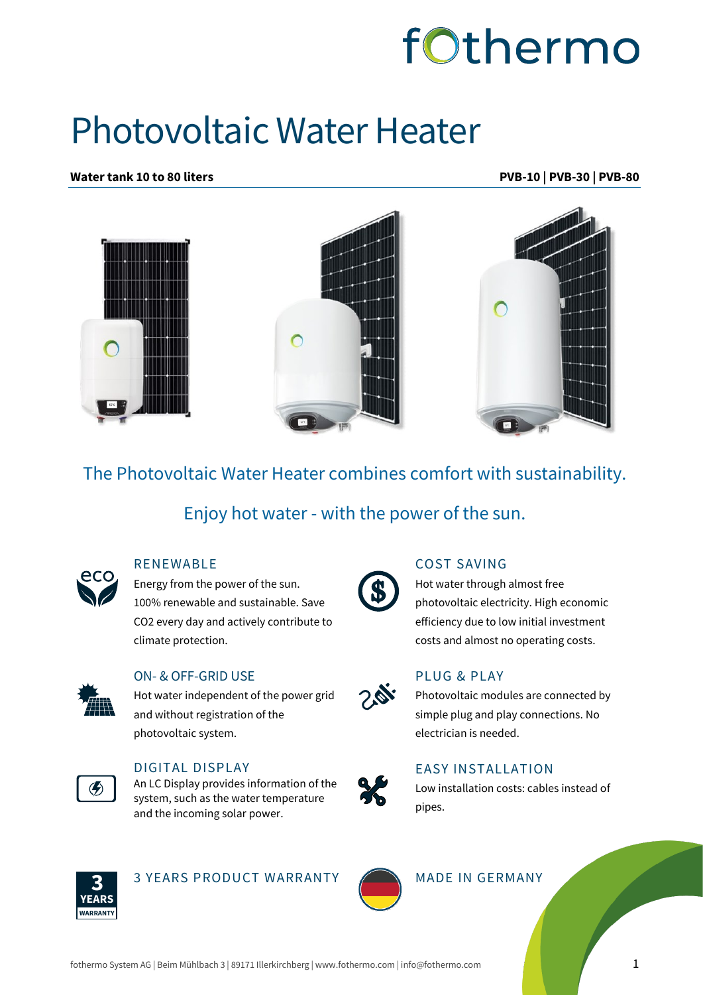

## Photovoltaic Water Heater

**Water tank 10 to 80 liters PVB-10 | PVB-30 | PVB-80**



The Photovoltaic Water Heater combines comfort with sustainability.

Enjoy hot water - with the power of the sun.



### **RENEWABLE**

Energy from the power of the sun. 100% renewable and sustainable. Save CO2 every day and actively contribute to climate protection.



#### ON- & OFF-GRID USE

Hot water independent of the power grid and without registration of the photovoltaic system.



#### DIGITAL DISPLAY

An LC Display provides information of the system, such as the water temperature and the incoming solar power.



#### COST SAVING

Hot water through almost free photovoltaic electricity. High economic efficiency due to low initial investment costs and almost no operating costs.



#### PLUG & PLAY

Photovoltaic modules are connected by simple plug and play connections. No electrician is needed.



#### EASY INSTALLATION

Low installation costs: cables instead of pipes.



3 YEARS PRODUCT WARRANTY MADE IN GERMANY



fothermo System AG | Beim Mühlbach 3 | 89171 Illerkirchberg | www.fothermo.com | info@fothermo.com 1